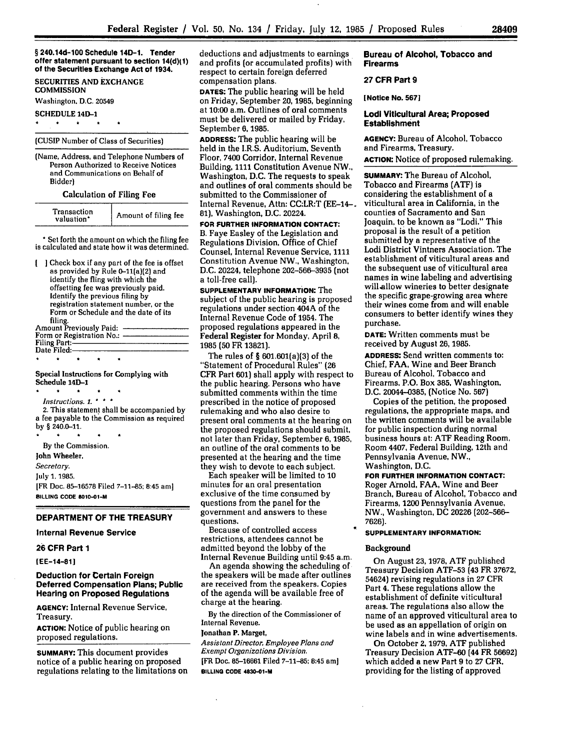**§ 240.14d-100 Schedule 14D-1. Tender offer statement pursuant to section 14(d)(1) of the Securities Exchange Act of 1934.**

**SECURITIES AND EXCHANGE COMMISSION**

**Washington. D.C. 20549**

**SCHEDULE 14D-1**

# **(CUSIP** Number of Class of Securities)

(Name, Address, and Telephone Numbers of Person Authorized to Receive Notices and Communications on Behalf of Bidder)

Calculation of Filing Fee

| Amount of filing fee<br>valuation* |
|------------------------------------|
|                                    |

\* Set forth the amount on which the filing fee is calculated and state how it was determined.

Check box if any part of the fee is offset as provided **by** Rule 0-11(a)(2) and identify the fling with which the offsetting fee was previously paid. Identify the previous filing **by** registration statement number, or the Form or Schedule and the date of its filing.<br>Amount Previously Paid: -Form or Registration No.: -**Filing Part:** Date Filed:

## Special Instructions for Complying with Schedule 14D-1

*Instructions. 1.* 2. This statement shall be accompanied **by** a fee payable to the Commission as required by § 240.0-11.

**By** the Commission.

**John Wheeler.**

*Secretary.*

July 1. 1985.

[FR Doc. 85-16578 Filed **7-11-85;** 8:45 am] **BILLING CODE 8010-01-M**

#### **DEPARTMENT OF THE TREASURY**

### **Internal Revenue Service**

# **26 CFR Part 1**

**[EE-14-81]**

## **Deduction for Certain Foreign Deferred Compensation Plans; Public Hearing on Proposed Regulations**

**AGENCY:** Internal Revenue **Service,** Treasury.

**ACTION:** Notice of public hearing on proposed regulations.

**SUMMARY:** This document provides notice of a public hearing on proposed regulations relating to the limitations on deductions and adjustments to earnings and profits (or accumulated profits) with respect to certain foreign deferred compensation plans.

**DATES:** The public hearing will be held on Friday, September **20,** 1985, beginning at **10:00** a.m. Outlines of oral comments must be delivered or mailed **by** Friday, September 6, **1985.**

**ADDRESS:** The public hearing will be held in the I.R.S. Auditorium, Seventh Floor, 7400 Corridor, Internal Revenue Building, 1111 Constitution Avenue NW., Washington, D.C. The requests to speak and outlines of oral comments should be submitted to the Commissioner of Internal Revenue, Attn: CC:LR:T (EE-14- 81), Washington, D.C. 20224.

**FOR FURTHER INFORMATION CONTACT:** B. Faye Easley of the Legislation and Regulations Division, Office of Chief Counsel, Internal Revenue Service, 1111 Constitution Avenue NW., Washington, D.C. 20224, telephone 202-566-3935 (not a toll-free call).

**SUPPLEMENTARY INFORMATION:** The subject of the public hearing is proposed regulations under section 404A of the Internal Revenue Code of 1954. The proposed regulations appeared in the Federal Register for Monday, April **8, 1985 (50** FR 13821).

The rules of **§** 601.601(a)(3) of the "Statement of Procedural Rules" **(26** CFR Part 601) shall apply with respect to the public hearing. Persons who have submitted comments within the time prescribed in the notice of proposed rulemaking and who also desire to present oral comments at the hearing on the proposed regulations should submit, not later than Friday, September 6, **1985,** an outline of the oral comments to be presented at the hearing and the time they wish to devote to each subject.

Each speaker will be limited to **10** minutes for an oral presentation exclusive of the time consumed by questions from the panel for the government and answers to these questions.

Because of controlled access restrictions, attendees cannot be admitted beyond the lobby of the Internal Revenue Building until 9:45 a.m.

An agenda showing the scheduling of the speakers will be made after outlines are received from the speakers. Copies of the agenda will be available free of charge at the hearing.

By the direction of the Commissioner of Internal Revenue.

#### **Jonathan P.** Marget,

*Assistant Director, Employee Plans and Exempt Organizations Division.* [FR Doc. 85-16661 Filed **7-11-85;** 8:45 am] **BILLING CODE 4830-01-M**

**Bureau of Alcohol, Tobacco and Firearms**

#### **27 CFR Part 9**

**[Notice No. 5671**

## **Lodi Viticultural Area; Proposed Establishment**

**AGENCY:** Bureau of Alcohol, Tobacco and Firearms, Treasury.

**ACTION:** Notice of proposed rulemaking.

**SUMMARY:** The Bureau of Alcohol, Tobacco and Firearms (ATF) is considering the establishment of a viticultural area in California, in the counties of Sacramento and San Joaquin. to be known as "Lodi." This proposal is the result of a petition submitted by a representative of the Lodi District Vintners Association. The establishment of viticultural areas and the subsequent use of viticultural area names in wine labeling and advertising will allow wineries to better designate the specific grape-growing area where their wines come from and will enable consumers to better identify wines they purchase.

**DATE:** Written comments must be received **by** August **26, 1985.**

**ADDRESS:** Send written comments to: Chief, **FAA,** Wine and Beer Branch Bureau of Alcohol, Tobacco and Firearms, P.O. Box **385,** Washington, **D.C.** 20044-0385, (Notice No. **567)**

Copies of the petition, the proposed regulations, the appropriate maps, and the written comments will be available for public inspection during normal business hours at: ATF Reading Room, Room 4407, Federal Building, 12th and Pennsylvania Avenue, NW., Washington, **D.C.**

**FOR FURTHER INFORMATION CONTACT:** Roger Arnold, FAA, Wine and Beer Branch, Bureau of Alcohol, Tobacco and Firearms, 1200 Pennsylvania Avenue, NW., Washington, **DC** 20226 (202-566- 7626).

#### **SUPPLEMENTARY INFORMATION:**

### **Background**

On August 23, 1978, ATF published Treasury Decision ATF-53 (43 FR 37672, 54624) revising regulations in **27** CFR Part 4. **These regulations allow the** establishment of definite viticultural areas. The regulations also allow the name of an approved viticultural area to be used as an appellation of origin on wine labels and in wine advertisements.

On October **2, 1979,** ATF published Treasury Decision ATF-60 (44 FR 56692) which added a new Part 9 to **27** CFR, providing for the listing of approved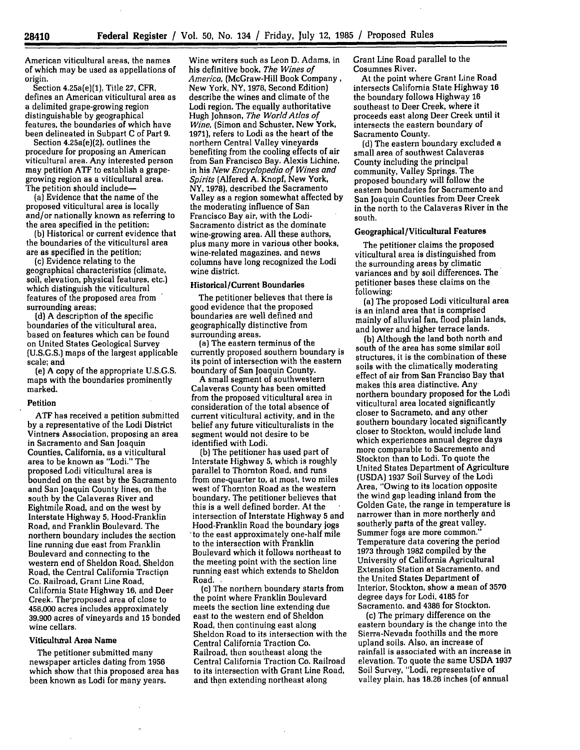American viticultural areas, the names of which may be used as appellations of origin.

Section 4.25a(e)(1), Title 27, CFR, defines an American viticultural area as a delimited grape-growing region distinguishable by geographical features, the boundaries of which have been delineated in Subpart **C** of Part 9.

Section 4.25a(e)(2), outlines the procedure for proposing an American viticultural area. Any interested person may petition ATF to establish a grapegrowing region as a viticultural area. The petition should include-

(a) Evidence that the name of the proposed viticultural area is locally and/or nationally known as referring to the area specified in the petition;

(b) Historical or current evidence that the boundaries of the viticultural area are as specified in the petition;

(c) Evidence relating to the geographical characteristics (climate, soil, elevation, physical features, etc.) which distinguish the viticultural features of the proposed area from surrounding areas;

(d) A description of the specific boundaries of the viticultural area, based on features which can be found on United States Geological Survey (U.S.G.S.) maps of the largest applicable scale; and

(e) A copy of the appropriate U.S.G.S. maps with the boundaries prominently marked.

## Petition

**ATF** has received a petition submitted by a representative of the Lodi District Vintners Association, proposing an area in Sacramento and San Joaquin Counties, California, as a viticultural area to be known as "Lodi." The proposed Lodi viticultural area is bounded on the east by the Sacramento and San Joaquin County lines, on the south by the Calaveras River and Eightmile Road, and on the west by Interstate Highway 5, Hood-Franklin Road, and Franklin Boulevard. The northern boundary includes the section line running due east from Franklin Boulevard and connecting to the western end of Sheldon Road, Sheldon Road, the Central California Tractign Co. Railroad, Grant Line Road, California State Highway **16,** and Deer Creek. The'proposed area of close to 458,000 acres includes approximately **39,900** acres of vineyards and **15** bonded wine cellars.

## Viticultural Area Name

The petitioner submitted many newspaper articles dating from 1956 which show that this proposed area has been known as Lodi for many years.

Wine writers such as Leon **D.** Adams, in his definitive book, *The Wines of America,* (McGraw-Hill Book Company, New York, NY, **1978,** Second Edition) describe the wines and climate of the Lodi region. The equally authoritative Hugh Johnson, *The World Atlas of Wine,* (Simon and Schuster, New York, 1971), refers to Lodi as the heart of the northern Central Valley vineyards benefiting from the cooling effects of air from San Francisco Bay. Alexis Lichine, in his *New Encyclopedia of Wines and Spirits* (Alfered A. Knopf, New York, NY, 1978), described the Sacramento Valley as a region somewhat affected by the moderating influence of San Francisco Bay air, with the Lodi-Sacramento district as the dominate wine-growing area. All these authors, plus many more in various other books, wine-related magazines, and news columns have long recognized the Lodi wine district.

### Historical/Current Boundaries

The petitioner believes that there is good evidence that the proposed boundaries are well defined and geographically distinctive from<br>surrounding areas.

(a) The eastern terminus of the currently proposed southern boundary is its point of intersection with the eastern boundary of San Joaquin County.

A small segment of southwestern Calaveras County has been omitted from the proposed viticultural area in consideration of the total absence of current viticultural activity, and in the belief any future viticulturalists in the segment would not desire to be identified with Lodi.

(b) The petitioner has used part of Interstate Highway **5,** which is roughly parallel to Thornton Road, and runs from one-quarter to, at most, two miles west of Thornton Road as the western boundary. The petitioner believes that this is a well defined border. At the intersection of Interstate Highway 5 and Hood-Franklin Road the boundary jogs 'to the east approximately one-half mile to the intersection with Franklin Boulevard which it follows northeast to the meeting point with the section line running east which extends to Sheldon Road.

(c) The northern boundary starts from the point where Franklin Boulevard meets the section line extending due east to the western end of Sheldon Road, then continuing east along Sheldon Road to its intersection with the Central California Traction Co. Railroad, then southeast along the Central California Traction Co. Railroad to its intersection with Grant Line Road, and then extending northeast along

Grant Line Road parallel to the Cosumnes River.

At the point where Grant Line Road intersects California State Highway **16** the boundary follows Highway **16** southeast to Deer Creek, where it proceeds east along Deer Creek until it intersects the eastern boundary of Sacramento County.

(d) The eastern boundary excluded a small area of southwest Calaveras County including the principal community, Valley Springs. The proposed boundary will follow the eastern boundaries for Sacramento and San Joaquin Counties from Deer Creek in the north to the Calaveras River in the south.

# Geographical/Viticultural Features

The petitioner claims the proposed viticultural area is distinguished from the surrounding areas by climatic variances and by soil differences. The petitioner bases these claims on the following:

(a) The proposed Lodi viticultural area is an inland area that is comprised mainly of alluvial fan, flood plain lands, and lower and higher terrace lands.

(b) Although the land both north and south of the area has some similar soil structures, it is the combination of these soils with the climatically moderating effect of air from San Franciso Bay that makes this area distinctive. Any northern boundary proposed for the Lodi viticultural area located significantly closer to Sacrameto, and any other southern boundary located significantly closer to Stockton, would include land which experiences annual degree days more comparable to Sacremento and Stockton than to Lodi. To quote the United States Department of Agriculture (USDA) 1937 Soil Survey of the Lodi Area, "Owing to its location opposite the wind gap leading inland from the Golden Gate, the range in temperature is narrower than in more northerly and southerly parts of the great valley. Summer fogs are more common." Temperature data covering the period 1973 through 1982 compiled by the University of California Agricultural Extension Station at Sacramento, and the United States Department of Interior, Stockton, show a mean of **3570** degree days for Lodi, 4185 for Sacramento, and **4386** for Stockton.

(c) The primary difference on the eastern boundary is the change into the Sierra-Nevada foothills and the more upland soils. Also, an increase of rainfall is associated with an increase in elevation. To quote the same USDA **1937** Soil Survey, "Lodi, representative of valley plain, has **18.26** inches (of annual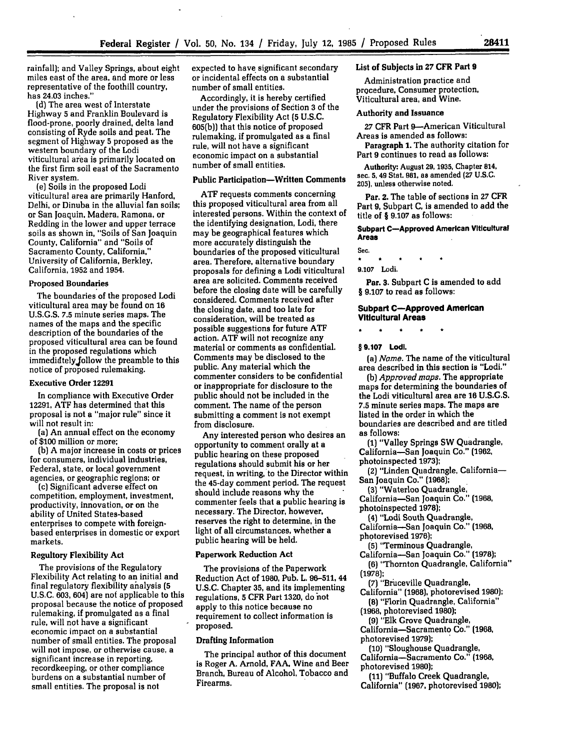rainfall); and Valley Springs, about eight miles east of the area, and more or less representative of the foothill country, has 24.03 inches."

**[d)** The area west of Interstate Highway **5** and Franklin Boulevard is flood-prone, poorly drained, delta land consisting of Ryde soils and peat. The segment of Highway **5** proposed as the western boundary of the Lodi viticultural area is primarily located on the first firm soil east of the Sacramento River system.

(e) Soils in the proposed Lodi viticultural area are primarily Hanford, Delhi, or Dinuba in the alluvial fan soils; or San Joaquin, Madera, Ramona, or Redding in the lower and upper terrace soils as shown in, "Soils of San Joaquin County, California" and "Soils **of** Sacramento County, California," University of California, Berkley, California, **1952** and 1954.

## Proposed Boundaries

The boundaries of the proposed Lodi viticultural area may be found on 16 U.S.G.S. **7.5** minute series maps. The names of the maps and the specific description of the boundaries of the proposed viticultural area can be found in the proposed regulations which immediately follow the preamble to this notice of proposed rulemaking.

### Executive Order 12291

In compliance with Executive Order 12291, ATF has determined that this proposal is not a "major rule" since it will not result in:

(a) An annual effect on the economy of **\$100** million or more;

(b) A major increase in costs or prices for consumers, individual industries, Federal, state, or local government agencies, or geographic regions; or

(c) Significant adverse effect on competition, employment, investment, productivity, innovation, or on the ability of United States-based enterprises to compete with foreignbased enterprises in domestic or export markets.

# Regultory Flexibility Act

The provisions **of** the Regulatory Flexibility Act relating to an initial and final regulatory flexibility analysis **(5** U.S.C. 603, 604) are not applicable to this proposal because the notice of proposed rulemaking, if promulgated as a final rule, will not have a significant economic impact on a substantial number of small entities. The proposal will not impose, or otherwise cause, a significant increase in reporting, recordkeeping, or other compliance burdens on a substantial number of small entities. The proposal is not

expected to have significant secondary or incidental effects on a substantial number of small entities.

Accordingly, it is hereby certified under the provisions of Section **3** of the Regulatory Flexibility Act **(5 U.S.C. 605(b))** that this notice of proposed rulemaking, if promulgated as a final rule, will not have a significant economic impact on a substantial number of small entities.

## **Public Participation-Written Comments**

**ATF** requests comments concerning this proposed viticultural area from all interested persons. Within the context of the identifying designation, Lodi, there may be geographical features which more accurately distinguish the boundaries of the proposed viticultural area. Therefore, alternative boundary proposals for defining a Lodi viticultural area are solicited. Comments received before the closing date will be carefully considered. Comments received after the closing date, and too late for consideration, will be treated as possible suggestions for future **ATF** action. **ATF** will not recognize any material or comments as confidential. Comments may be disclosed to the public. Any material which the commenter considers to be confidential or inappropriate for disclosure to the public should not be included in the comment. The name of the person submitting a comment is not exempt from disclosure.

Any interested person who desires an opportunity to comment orally at a public hearing on these proposed regulations should submit his or her request, in writing, to the Director within the 45-day comment period. The request should include reasons why the commenter feels that a public hearing is necessary. The Director, however, reserves the right to determine, in the light of all circumstances, whether a public hearing will be held.

#### Paperwork Reduction Act

The provisions of the Paperwork Reduction Act of **1980,** Pub. L. **96-511, 44 U.S.C.** Chapter **35,** and its implementing regulations, **5** CFR Part **1320,** do **hot** apply to this notice because no requirement to collect information is proposed.

## Drafting Information

The principal author of this document is Roger **A.** Arnold, **FAA,** Wine and Beer Branch, Bureau of Alcohol, Tobacco and Firearms.

# List of Subjects in **27 CFR Part 9**

Administration practice and procedure, Consumer protection, Viticultural area, and Wine.

#### Authority and Issuance

**27** CFR Part 9-American Viticultural Areas is amended as follows:

**Paragraph 1.** The authority citation for Part **9** continues to read as follows:

Authority: August **29, 1935,** Chapter **814,** sec. **5, 49** Stat. **981,** as amended **(27 U.S.C. 205],** unless otherwise noted.

Par. **2.** The table of sections in **27 CFR** Part **9,** Subpart **C.** is amended to add the title of § **9.107** as follows:

**Subpart C-Approved American Viticultural Areas**

Sec.

**9.107** Lodi.

**Par. 3.** Subpart C is amended to add § **9.107** to read as follows:

### **Subpart C-Approved American Viticultural Areas**

\* **\*** \* **\*t \***

**§ 9.107 Lodi.**

*(a) Name.* The name of the viticultural area described in this section is "Lodi."

*(b) Approved maps.* The appropriate maps for determining the boundaries of the Lodi viticultural area are 16 U.S.G.S. **7.5** minute series maps. The maps are listed in the order in which the boundaries are described and are titled as follows:

**(1)** "Valley Springs SW Quadrangle, California-San Joaquin Co." **(1962,** photoinspected **1973);**

**(2)** "Linden Quadrangle, California-San Joaquin Co." **(1968);**

**(3)** "Waterloo Quadrangle California-San Joaquin Co." **(1968,**

photoinspected **1978);**

**(4)** "Lodi South Quadrangle, California-San Joaquin Co." **(1968,**

photorevised **1976);**

**(5)** "Terminous Quadrangle,

California-San Joaquin Co." **(1978);**

**(6)** "Thornton Quadrangle, California" **(1978);**

**(7)** "Bruceville Quadrangle,

California" **(1968),** photorevised **1980); (8)** "Florin Quadrangle, California"

**(1968,** photorevised **1980);**

**(9) "Elk** Grove Quadrangle, California-Sacramento Co." **(1968,**

photorevised **1979);**

**(10)** "Sloughouse Quadrangle, California-Sacramento Co." **(1968,** photorevised **1980);**

**(11)** "Buffalo Creek Quadrangle, California" **(1967,** photorevised **1980);**